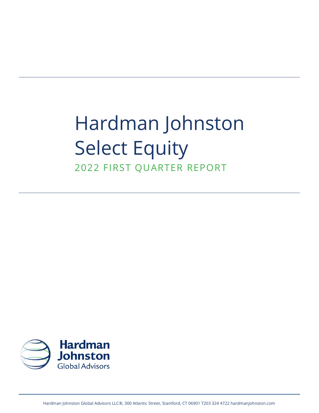# Hardman Johnston Select Equity 2022 FIRST QUARTER REPORT

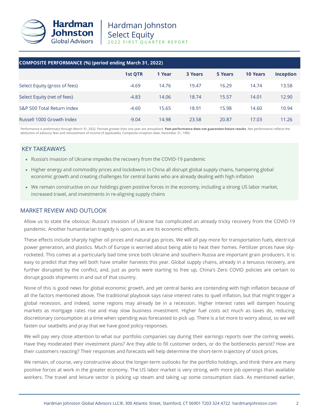

| COMPOSITE PERFORMANCE (%) (period ending March 31, 2022) |         |        |                |         |                 |                  |
|----------------------------------------------------------|---------|--------|----------------|---------|-----------------|------------------|
|                                                          | 1st QTR | 1 Year | <b>3 Years</b> | 5 Years | <b>10 Years</b> | <b>Inception</b> |
| Select Equity (gross of fees)                            | $-4.69$ | 14.76  | 19.47          | 16.29   | 14.74           | 13.58            |
| Select Equity (net of fees)                              | $-4.83$ | 14.06  | 18.74          | 15.57   | 14.01           | 12.90            |
| S&P 500 Total Return Index                               | $-4.60$ | 15.65  | 18.91          | 15.98   | 14.60           | 10.94            |
| Russell 1000 Growth Index                                | $-9.04$ | 14.98  | 23.58          | 20.87   | 17.03           | 11.26            |

Performance is preliminary through March 31, 2022. Periods greater than one year are annualized. **Past performance does not guarantee future results**. Net performance reflects the deduction of advisory fees and reinvestment of income (if applicable). Composite inception date: December 31, 1990.

## KEY TAKEAWAYS

- Russia's invasion of Ukraine impedes the recovery from the COVID-19 pandemic
- Higher energy and commodity prices and lockdowns in China all disrupt global supply chains, hampering global economic growth and creating challenges for central banks who are already dealing with high inflation
- We remain constructive on our holdings given positive forces in the economy, including a strong US labor market, increased travel, and investments in re-aligning supply chains

## MARKET REVIEW AND OUTLOOK

Allow us to state the obvious: Russia's invasion of Ukraine has complicated an already tricky recovery from the COVID-19 pandemic. Another humanitarian tragedy is upon us, as are its economic effects.

These effects include sharply higher oil prices and natural gas prices. We will all pay more for transportation fuels, electrical power generation, and plastics. Much of Europe is worried about being able to heat their homes. Fertilizer prices have skyrocketed. This comes at a particularly bad time since both Ukraine and southern Russia are important grain producers. It is easy to predict that they will both have smaller harvests this year. Global supply chains, already in a tenuous recovery, are further disrupted by the conflict, and, just as ports were starting to free up, China's Zero COVID policies are certain to disrupt goods shipments in and out of that country.

None of this is good news for global economic growth, and yet central banks are contending with high inflation because of all the factors mentioned above. The traditional playbook says raise interest rates to quell inflation, but that might trigger a global recession, and indeed, some regions may already be in a recession. Higher interest rates will dampen housing markets as mortgage rates rise and may slow business investment. Higher fuel costs act much as taxes do, reducing discretionary consumption at a time when spending was forecasted to pick up. There is a lot more to worry about, so we will fasten our seatbelts and pray that we have good policy responses.

We will pay very close attention to what our portfolio companies say during their earnings reports over the coming weeks. Have they moderated their investment plans? Are they able to fill customer orders, or do the bottlenecks persist? How are their customers reacting? Their responses and forecasts will help determine the short-term trajectory of stock prices.

We remain, of course, very constructive about the longer-term outlooks for the portfolio holdings, and think there are many positive forces at work in the greater economy. The US labor market is very strong, with more job openings than available workers. The travel and leisure sector is picking up steam and taking up some consumption slack. As mentioned earlier,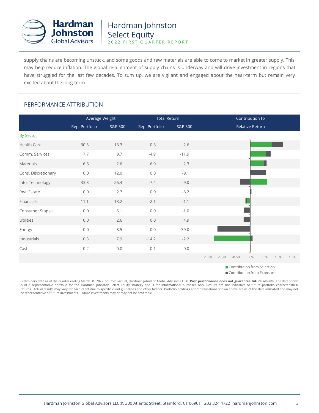

supply chains are becoming unstuck, and some goods and raw materials are able to come to market in greater supply. This may help reduce inflation. The global re-alignment of supply chains is underway and will drive investment in regions that have struggled for the last few decades. To sum up, we are vigilant and engaged about the near-term but remain very excited about the long-term.

## PERFORMANCE ATTRIBUTION

|                     | Average Weight |         | <b>Total Return</b> |         | Contribution to                                               |  |  |  |
|---------------------|----------------|---------|---------------------|---------|---------------------------------------------------------------|--|--|--|
|                     | Rep. Portfolio | S&P 500 | Rep. Portfolio      | S&P 500 | Relative Return                                               |  |  |  |
| <b>By Sector</b>    |                |         |                     |         |                                                               |  |  |  |
| Health Care         | 30.5           | 13.3    | 0.3                 | $-2.6$  |                                                               |  |  |  |
| Comm. Services      | 7.7            | 9.7     | $-4.9$              | $-11.9$ |                                                               |  |  |  |
| Materials           | 6.3            | 2.6     | 6.0                 | $-2.3$  |                                                               |  |  |  |
| Cons. Discretionary | 0.0            | 12.0    | 0.0                 | $-9.1$  |                                                               |  |  |  |
| Info. Technology    | 33.8           | 26.4    | $-7.4$              | $-9.0$  |                                                               |  |  |  |
| Real Estate         | 0.0            | 2.7     | $0.0\,$             | $-6.2$  |                                                               |  |  |  |
| Financials          | 11.1           | 13.2    | $-2.1$              | $-1.1$  |                                                               |  |  |  |
| Consumer Staples    | 0.0            | 6.1     | $0.0\,$             | $-1.0$  |                                                               |  |  |  |
| Utilities           | 0.0            | 2.6     | 0.0                 | 4.9     |                                                               |  |  |  |
| Energy              | 0.0            | 3.5     | 0.0                 | 39.0    |                                                               |  |  |  |
| Industrials         | 10.3           | 7.9     | $-14.2$             | $-2.2$  |                                                               |  |  |  |
| Cash                | 0.2            | 0.0     | 0.1                 | $0.0$   |                                                               |  |  |  |
|                     |                |         |                     |         | $-1.5%$<br>$-1.0%$<br>$-0.5%$<br>0.0%<br>0.5%<br>1.0%<br>1.5% |  |  |  |

**Contribution from Selection** 

Contribution from Exposure

Preliminary data as of the quarter ending March 31, 2022. Source: FactSet, Hardman Johnston Global Advisors LLC®. **Past performance does not guarantee future results.** The data shown is of a representative portfolio for the Hardman Johnston Select Equity strategy and is for informational purposes only. Results are not indicative of future portfolio characteristics/ returns. Actual results may vary for each client due to specific client guidelines and other factors. Portfolio holdings and/or allocations shown above are as of the date indicated and may not be representative of future investments. Future investments may or may not be profitable.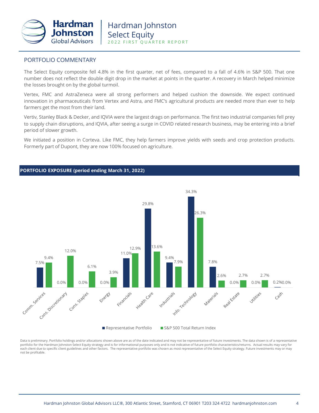

## PORTFOLIO COMMENTARY

The Select Equity composite fell 4.8% in the first quarter, net of fees, compared to a fall of 4.6% in S&P 500. That one number does not reflect the double digit drop in the market at points in the quarter. A recovery in March helped minimize the losses brought on by the global turmoil.

Vertex, FMC and AstraZeneca were all strong performers and helped cushion the downside. We expect continued innovation in pharmaceuticals from Vertex and Astra, and FMC's agricultural products are needed more than ever to help farmers get the most from their land.

Vertiv, Stanley Black & Decker, and IQVIA were the largest drags on performance. The first two industrial companies fell prey to supply chain disruptions, and IQVIA, after seeing a surge in COVID related research business, may be entering into a brief period of slower growth.

We initiated a position in Corteva. Like FMC, they help farmers improve yields with seeds and crop protection products. Formerly part of Dupont, they are now 100% focused on agriculture.



Data is preliminary. Portfolio holdings and/or allocations shown above are as of the date indicated and may not be representative of future investments. The data shown is of a representative portfolio for the Hardman Johnston Select Equity strategy and is for informational purposes only and is not indicative of future portfolio characteristics/returns. Actual results may vary for each client due to specific client guidelines and other factors. The representative portfolio was chosen as most representative of the Select Equity strategy. Future investments may or may not be profitable.

#### **PORTFOLIO EXPOSURE (period ending March 31, 2022)**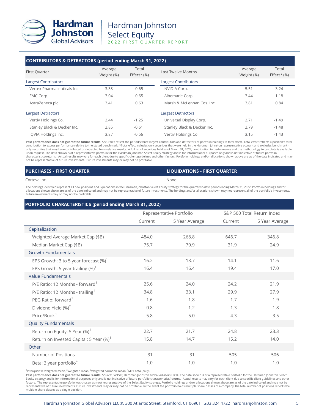

# Hardman Johnston Select Equity 2022 FIRST QUARTER REPORT

#### **CONTRIBUTORS & DETRACTORS (period ending March 31, 2022)**

| First Quarter               | Average<br>Weight (%) | Total<br>$Effect* (%)$ | Last Twelve Months                  | Average<br>Weight (%) | Total<br>Effect* $(%)$ |
|-----------------------------|-----------------------|------------------------|-------------------------------------|-----------------------|------------------------|
| Largest Contributors        |                       |                        | <b>Largest Contributors</b>         |                       |                        |
| Vertex Pharmaceuticals Inc. | 3.38                  | 0.65                   | NVIDIA Corp.                        | 5.51                  | 3.24                   |
| FMC Corp.                   | 3.04                  | 0.65                   | Albemarle Corp.                     | 3.44                  | 1.18                   |
| AstraZeneca plc             | 3.41                  | 0.63                   | Marsh & McLennan Cos. Inc.          | 3.81                  | 0.84                   |
| <b>Largest Detractors</b>   |                       |                        | <b>Largest Detractors</b>           |                       |                        |
| Vertiv Holdings Co.         | 2.44                  | $-1.25$                | Universal Display Corp.             | 2.71                  | $-1.49$                |
| Stanley Black & Decker Inc. | 2.85                  | $-0.61$                | Stanley Black & Decker Inc.<br>2.79 |                       | $-1.48$                |
| IQVIA Holdings Inc.         | 3.87                  | $-0.56$                | Vertiv Holdings Co.<br>3.15         |                       | $-1.43$                |

Past performance does not guarantee future results. Securities reflect the period's three largest contributors and detractors of portfolio holdings to total effect. Total effect reflects a position's total contribution to excess performance relative to the stated benchmark. \*Total effect includes only securities that were held in the Hardman Johnston representative account and excludes benchmark-<br>only securities that may hav upon request. The data shown is of a representative portfolio for the Hardman Johnston Select Equity strategy and is for informational purposes only and is not indicative of future portfolio characteristics/returns. Actual results may vary for each client due to specific client guidelines and other factors. Portfolio holdings and/or allocations shown above are as of the date indicated and may<br>not be representa

| <b>PURCHASES - FIRST QUARTER</b> | <b>LIQUIDATIONS - FIRST QUARTER</b> |
|----------------------------------|-------------------------------------|
| Corteva Inc.                     | None.                               |

The holdings identified represent all new positions and liquidations in the Hardman Johnston Select Equity strategy for the quarter-to-date period ending March 31, 2022. Portfolio holdings and/or allocations shown above are as of the date indicated and may not be representative of future investments. The holdings and/or allocations shown may not represent all of the portfolio's investments. Future investments may or may not be profitable.

### **PORTFOLIO CHARACTERISTICS (period ending March 31, 2022)**

|                                                     | Representative Portfolio |                |         | S&P 500 Total Return Index |  |
|-----------------------------------------------------|--------------------------|----------------|---------|----------------------------|--|
|                                                     | Current                  | 5 Year Average | Current | 5 Year Average             |  |
| Capitalization                                      |                          |                |         |                            |  |
| Weighted Average Market Cap (\$B)                   | 484.0                    | 268.8          | 646.7   | 346.8                      |  |
| Median Market Cap (\$B)                             | 75.7                     | 70.9           | 31.9    | 24.9                       |  |
| <b>Growth Fundamentals</b>                          |                          |                |         |                            |  |
| EPS Growth: 3 to 5 year forecast $(\%)^1$           | 16.2                     | 13.7           | 14.1    | 11.6                       |  |
| EPS Growth: 5 year trailing $(\%)^1$                | 16.4                     | 16.4           | 19.4    | 17.0                       |  |
| <b>Value Fundamentals</b>                           |                          |                |         |                            |  |
| P/E Ratio: 12 Months - forward <sup>1</sup>         | 25.6                     | 24.0           | 24.2    | 21.9                       |  |
| P/E Ratio: 12 Months - trailing <sup>1</sup>        | 34.8                     | 33.1           | 29.9    | 27.9                       |  |
| PEG Ratio: forward <sup>1</sup>                     | 1.6                      | 1.8            | 1.7     | 1.9                        |  |
| Dividend Yield (%) <sup>2</sup>                     | 0.8                      | 1.2            | 1.3     | 1.8                        |  |
| Price/Book <sup>3</sup>                             | 5.8                      | 5.0            | 4.3     | 3.5                        |  |
| <b>Quality Fundamentals</b>                         |                          |                |         |                            |  |
| Return on Equity: 5 Year (%) <sup>1</sup>           | 22.7                     | 21.7           | 24.8    | 23.3                       |  |
| Return on Invested Capital: 5 Year (%) <sup>1</sup> | 15.8                     | 14.7           | 15.2    | 14.0                       |  |
| Other                                               |                          |                |         |                            |  |
| Number of Positions                                 | 31                       | 31             | 505     | 506                        |  |
| Beta: 3 year portfolio <sup>4</sup>                 | 1.0                      | 1.0            | 1.0     | 1.0                        |  |

<sup>1</sup>Interquartile weighted mean, <sup>2</sup>Weighted mean, <sup>3</sup>Weighted harmonic mean, <sup>4</sup>MPT beta (daily).

**Past performance does not guarantee future results.** Source: FactSet, Hardman Johnston Global Advisors LLC®. The data shown is of a representative portfolio for the Hardman Johnston Select<br>Equity strategy and is for infor factors. The representative portfolio was chosen as most representative of the Select Equity strategy. Portfolio holdings and/or allocations shown above are as of the date indicated and may not be representative of future investments. Future investments may or may not be profitable. In the event the portfolio holds multiple share classes of a company, the total number of positions reflects the multiple share classes as a single position.